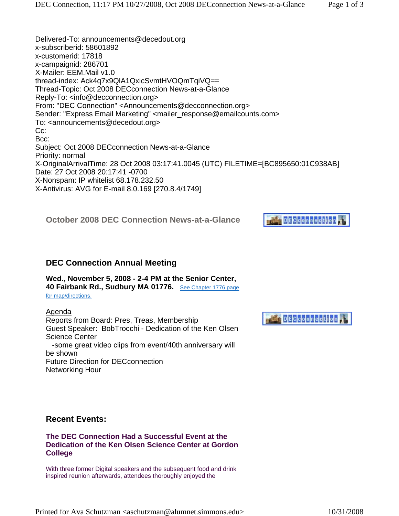# **DECconnection**

# **DEC Connection Annual Meeting**

#### **Wed., November 5, 2008 - 2-4 PM at the Senior Center, 40 Fairbank Rd., Sudbury MA 01776.** See Chapter 1776 page

for map/directions.

Agenda Reports from Board: Pres, Treas, Membership Guest Speaker: BobTrocchi - Dedication of the Ken Olsen Science Center -some great video clips from event/40th anniversary will be shown Future Direction for DECconnection Networking Hour

# **Recent Events:**

#### **The DEC Connection Had a Successful Event at the Dedication of the Ken Olsen Science Center at Gordon College**

With three former Digital speakers and the subsequent food and drink inspired reunion afterwards, attendees thoroughly enjoyed the

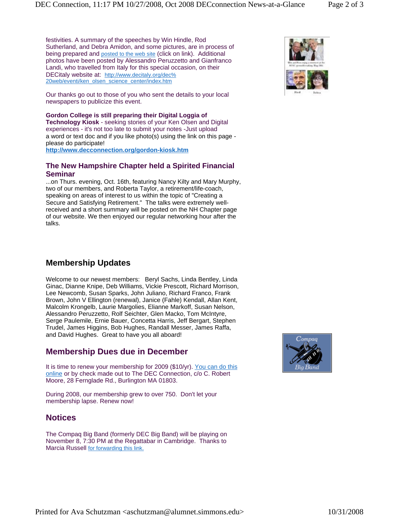festivities. A summary of the speeches by Win Hindle, Rod Sutherland, and Debra Amidon, and some pictures, are in process of being prepared and posted to the web site (click on link). Additional photos have been posted by Alessandro Peruzzetto and Gianfranco Landi, who travelled from Italy for this special occasion, on their DECitaly website at: http://www.decitaly.org/dec% 20web/eventi/ken\_olsen\_science\_center/index.htm

Our thanks go out to those of you who sent the details to your local newspapers to publicize this event.

**Gordon College is still preparing their Digital Loggia of Technology Kiosk** - seeking stories of your Ken Olsen and Digital experiences - it's not too late to submit your notes -Just upload a word or text doc and if you like photo(s) using the link on this page please do participate! **http://www.decconnection.org/gordon-kiosk.htm**

#### **The New Hampshire Chapter held a Spirited Financial Seminar**

...on Thurs. evening, Oct. 16th, featuring Nancy Kilty and Mary Murphy, two of our members, and Roberta Taylor, a retirement/life-coach, speaking on areas of interest to us within the topic of "Creating a Secure and Satisfying Retirement." The talks were extremely wellreceived and a short summary will be posted on the NH Chapter page of our website. We then enjoyed our regular networking hour after the talks.

# **Membership Updates**

Welcome to our newest members: Beryl Sachs, Linda Bentley, Linda Ginac, Dianne Knipe, Deb Williams, Vickie Prescott, Richard Morrison, Lee Newcomb, Susan Sparks, John Juliano, Richard Franco, Frank Brown, John V Ellington (renewal), Janice (Fahle) Kendall, Allan Kent, Malcolm Krongelb, Laurie Margolies, Elianne Markoff, Susan Nelson, Alessandro Peruzzetto, Rolf Seichter, Glen Macko, Tom McIntyre, Serge Paulemile, Ernie Bauer, Concetta Harris, Jeff Bergart, Stephen Trudel, James Higgins, Bob Hughes, Randall Messer, James Raffa, and David Hughes. Great to have you all aboard!

# **Membership Dues due in December**

It is time to renew your membership for 2009 (\$10/yr). You can do this online or by check made out to The DEC Connection, c/o C. Robert Moore, 28 Fernglade Rd., Burlington MA 01803.

During 2008, our membership grew to over 750. Don't let your membership lapse. Renew now!

# **Notices**

The Compaq Big Band (formerly DEC Big Band) will be playing on November 8, 7:30 PM at the Regattabar in Cambridge. Thanks to Marcia Russell for forwarding this link.